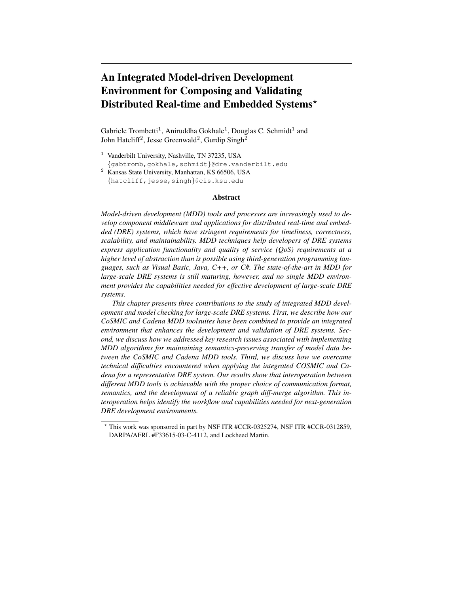# **An Integrated Model-driven Development Environment for Composing and Validating Distributed Real-time and Embedded Systems**?

Gabriele Trombetti<sup>1</sup>, Aniruddha Gokhale<sup>1</sup>, Douglas C. Schmidt<sup>1</sup> and John Hatcliff<sup>2</sup>, Jesse Greenwald<sup>2</sup>, Gurdip Singh<sup>2</sup>

- <sup>1</sup> Vanderbilt University, Nashville, TN 37235, USA {gabtromb,gokhale,schmidt}@dre.vanderbilt.edu
- <sup>2</sup> Kansas State University, Manhattan, KS 66506, USA {hatcliff,jesse,singh}@cis.ksu.edu

### **Abstract**

*Model-driven development (MDD) tools and processes are increasingly used to develop component middleware and applications for distributed real-time and embedded (DRE) systems, which have stringent requirements for timeliness, correctness, scalability, and maintainability. MDD techniques help developers of DRE systems express application functionality and quality of service (QoS) requirements at a higher level of abstraction than is possible using third-generation programming languages, such as Visual Basic, Java, C++, or C#. The state-of-the-art in MDD for large-scale DRE systems is still maturing, however, and no single MDD environment provides the capabilities needed for effective development of large-scale DRE systems.*

*This chapter presents three contributions to the study of integrated MDD development and model checking for large-scale DRE systems. First, we describe how our CoSMIC and Cadena MDD toolsuites have been combined to provide an integrated environment that enhances the development and validation of DRE systems. Second, we discuss how we addressed key research issues associated with implementing MDD algorithms for maintaining semantics-preserving transfer of model data between the CoSMIC and Cadena MDD tools. Third, we discuss how we overcame technical difficulties encountered when applying the integrated COSMIC and Cadena for a representative DRE system. Our results show that interoperation between different MDD tools is achievable with the proper choice of communication format, semantics, and the development of a reliable graph diff-merge algorithm. This interoperation helps identify the workflow and capabilities needed for next-generation DRE development environments.*

<sup>?</sup> This work was sponsored in part by NSF ITR #CCR-0325274, NSF ITR #CCR-0312859, DARPA/AFRL #F33615-03-C-4112, and Lockheed Martin.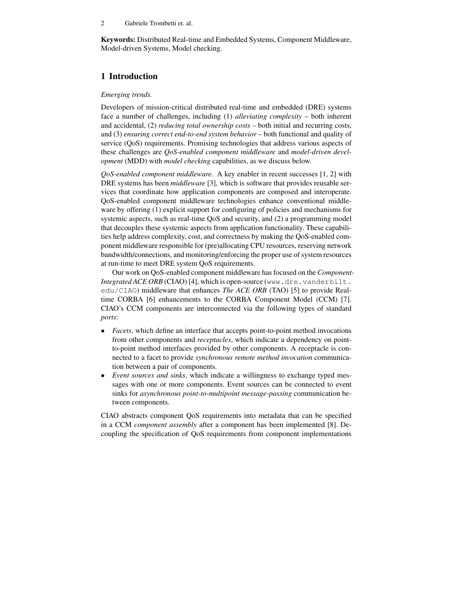**Keywords:** Distributed Real-time and Embedded Systems, Component Middleware, Model-driven Systems, Model checking.

# **1 Introduction**

# *Emerging trends.*

Developers of mission-critical distributed real-time and embedded (DRE) systems face a number of challenges, including (1) *alleviating complexity* – both inherent and accidental, (2) *reducing total ownership costs* – both initial and recurring costs, and (3) *ensuring correct end-to-end system behavior* – both functional and quality of service (QoS) requirements. Promising technologies that address various aspects of these challenges are *QoS-enabled component middleware* and *model-driven development* (MDD) with *model checking* capabilities, as we discuss below.

*QoS-enabled component middleware.* A key enabler in recent successes [1, 2] with DRE systems has been *middleware* [3], which is software that provides reusable services that coordinate how application components are composed and interoperate. QoS-enabled component middleware technologies enhance conventional middleware by offering (1) explicit support for configuring of policies and mechanisms for systemic aspects, such as real-time QoS and security, and (2) a programming model that decouples these systemic aspects from application functionality. These capabilities help address complexity, cost, and correctness by making the QoS-enabled component middleware responsible for (pre)allocating CPU resources, reserving network bandwidth/connections, and monitoring/enforcing the proper use of system resources at run-time to meet DRE system QoS requirements.

Our work on QoS-enabled component middleware hasfocused on the *Component-Integrated ACE ORB* (CIAO) [4], which is open-source (www.dre.vanderbilt. edu/CIAO) middleware that enhances *The ACE ORB* (TAO) [5] to provide Realtime CORBA [6] enhancements to the CORBA Component Model (CCM) [7]. CIAO's CCM components are interconnected via the following types of standard *ports*:

- *Facets*, which define an interface that accepts point-to-point method invocations from other components and *receptacles*, which indicate a dependency on pointto-point method interfaces provided by other components. A receptacle is connected to a facet to provide *synchronous remote method invocation* communication between a pair of components.
- *Event sources and sinks*, which indicate a willingness to exchange typed messages with one or more components. Event sources can be connected to event sinks for *asynchronous point-to-multipoint message-passing* communication between components.

CIAO abstracts component QoS requirements into metadata that can be specified in a CCM *component assembly* after a component has been implemented [8]. Decoupling the specification of QoS requirements from component implementations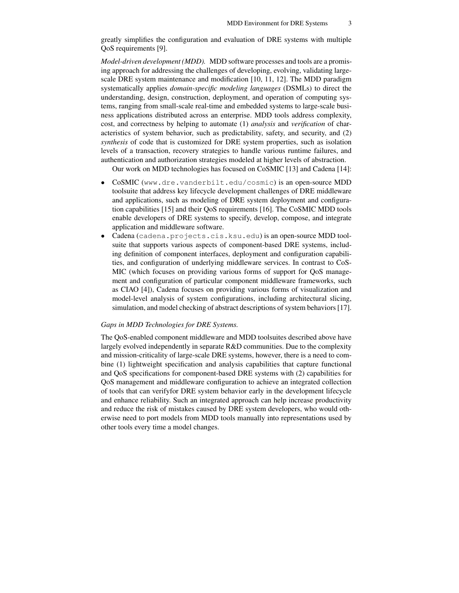greatly simplifies the configuration and evaluation of DRE systems with multiple QoS requirements [9].

*Model-driven development (MDD).* MDD software processes and tools are a promising approach for addressing the challenges of developing, evolving, validating largescale DRE system maintenance and modification [10, 11, 12]. The MDD paradigm systematically applies *domain-specific modeling languages* (DSMLs) to direct the understanding, design, construction, deployment, and operation of computing systems, ranging from small-scale real-time and embedded systems to large-scale business applications distributed across an enterprise. MDD tools address complexity, cost, and correctness by helping to automate (1) *analysis* and *verification* of characteristics of system behavior, such as predictability, safety, and security, and (2) *synthesis* of code that is customized for DRE system properties, such as isolation levels of a transaction, recovery strategies to handle various runtime failures, and authentication and authorization strategies modeled at higher levels of abstraction.

Our work on MDD technologies has focused on CoSMIC [13] and Cadena [14]:

- CoSMIC (www.dre.vanderbilt.edu/cosmic) is an open-source MDD toolsuite that address key lifecycle development challenges of DRE middleware and applications, such as modeling of DRE system deployment and configuration capabilities [15] and their QoS requirements [16]. The CoSMIC MDD tools enable developers of DRE systems to specify, develop, compose, and integrate application and middleware software.
- Cadena (cadena.projects.cis.ksu.edu) is an open-source MDD toolsuite that supports various aspects of component-based DRE systems, including definition of component interfaces, deployment and configuration capabilities, and configuration of underlying middleware services. In contrast to CoS-MIC (which focuses on providing various forms of support for QoS management and configuration of particular component middleware frameworks, such as CIAO [4]), Cadena focuses on providing various forms of visualization and model-level analysis of system configurations, including architectural slicing, simulation, and model checking of abstract descriptions of system behaviors [17].

### *Gaps in MDD Technologies for DRE Systems.*

The QoS-enabled component middleware and MDD toolsuites described above have largely evolved independently in separate R&D communities. Due to the complexity and mission-criticality of large-scale DRE systems, however, there is a need to combine (1) lightweight specification and analysis capabilities that capture functional and QoS specifications for component-based DRE systems with (2) capabilities for QoS management and middleware configuration to achieve an integrated collection of tools that can verifyfor DRE system behavior early in the development lifecycle and enhance reliability. Such an integrated approach can help increase productivity and reduce the risk of mistakes caused by DRE system developers, who would otherwise need to port models from MDD tools manually into representations used by other tools every time a model changes.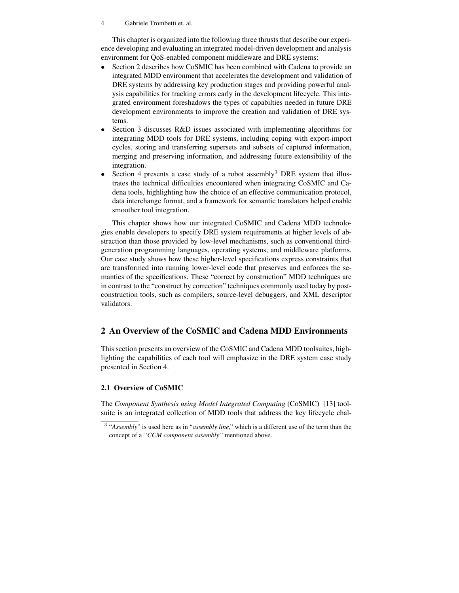This chapter is organized into the following three thrusts that describe our experience developing and evaluating an integrated model-driven development and analysis environment for QoS-enabled component middleware and DRE systems:

- Section 2 describes how CoSMIC has been combined with Cadena to provide an integrated MDD environment that accelerates the development and validation of DRE systems by addressing key production stages and providing powerful analysis capabilities for tracking errors early in the development lifecycle. This integrated environment foreshadows the types of capabilties needed in future DRE development environments to improve the creation and validation of DRE systems.
- Section 3 discusses R&D issues associated with implementing algorithms for integrating MDD tools for DRE systems, including coping with export-import cycles, storing and transferring supersets and subsets of captured information, merging and preserving information, and addressing future extensibility of the integration.
- Section 4 presents a case study of a robot assembly<sup>3</sup> DRE system that illustrates the technical difficulties encountered when integrating CoSMIC and Cadena tools, highlighting how the choice of an effective communication protocol, data interchange format, and a framework for semantic translators helped enable smoother tool integration.

This chapter shows how our integrated CoSMIC and Cadena MDD technologies enable developers to specify DRE system requirements at higher levels of abstraction than those provided by low-level mechanisms, such as conventional thirdgeneration programming languages, operating systems, and middleware platforms. Our case study shows how these higher-level specifications express constraints that are transformed into running lower-level code that preserves and enforces the semantics of the specifications. These "correct by construction" MDD techniques are in contrast to the "construct by correction" techniques commonly used today by postconstruction tools, such as compilers, source-level debuggers, and XML descriptor validators.

# **2 An Overview of the CoSMIC and Cadena MDD Environments**

This section presents an overview of the CoSMIC and Cadena MDD toolsuites, highlighting the capabilities of each tool will emphasize in the DRE system case study presented in Section 4.

## **2.1 Overview of CoSMIC**

The *Component Synthesis using Model Integrated Computing* (CoSMIC) [13] toolsuite is an integrated collection of MDD tools that address the key lifecycle chal-

<sup>3</sup> "*Assembly*" is used here as in "*assembly line*," which is a different use of the term than the concept of a *"CCM component assembly"* mentioned above.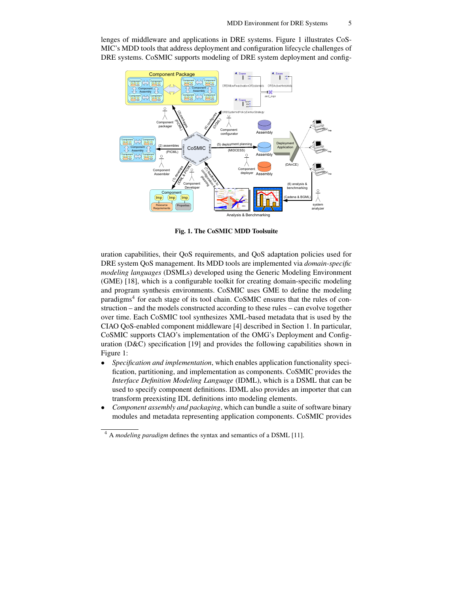

lenges of middleware and applications in DRE systems. Figure 1 illustrates CoS-MIC's MDD tools that address deployment and configuration lifecycle challenges of DRE systems. CoSMIC supports modeling of DRE system deployment and config-

**Fig. 1. The CoSMIC MDD Toolsuite**

uration capabilities, their QoS requirements, and QoS adaptation policies used for DRE system QoS management. Its MDD tools are implemented via *domain-specific modeling languages* (DSMLs) developed using the Generic Modeling Environment (GME) [18], which is a configurable toolkit for creating domain-specific modeling and program synthesis environments. CoSMIC uses GME to define the modeling paradigms<sup>4</sup> for each stage of its tool chain. CoSMIC ensures that the rules of construction – and the models constructed according to these rules – can evolve together over time. Each CoSMIC tool synthesizes XML-based metadata that is used by the CIAO QoS-enabled component middleware [4] described in Section 1. In particular, CoSMIC supports CIAO's implementation of the OMG's Deployment and Configuration  $(D&C)$  specification [19] and provides the following capabilities shown in Figure 1:

- *Specification and implementation*, which enables application functionality specification, partitioning, and implementation as components. CoSMIC provides the *Interface Definition Modeling Language* (IDML), which is a DSML that can be used to specify component definitions. IDML also provides an importer that can transform preexisting IDL definitions into modeling elements.
- *Component assembly and packaging*, which can bundle a suite of software binary modules and metadata representing application components. CoSMIC provides

<sup>&</sup>lt;sup>4</sup> A *modeling paradigm* defines the syntax and semantics of a DSML [11].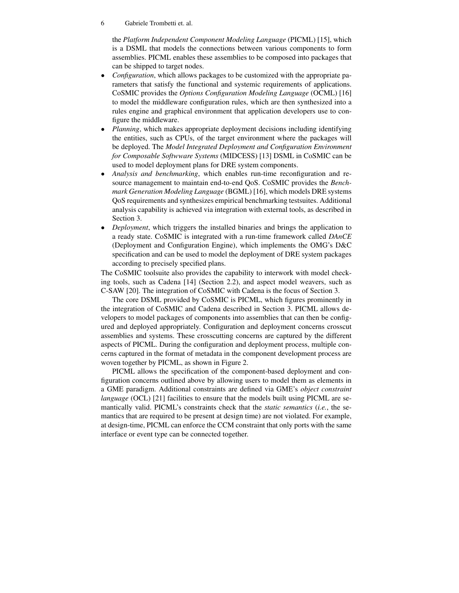the *Platform Independent Component Modeling Language* (PICML) [15], which is a DSML that models the connections between various components to form assemblies. PICML enables these assemblies to be composed into packages that can be shipped to target nodes.

- *Configuration*, which allows packages to be customized with the appropriate parameters that satisfy the functional and systemic requirements of applications. CoSMIC provides the *Options Configuration Modeling Language* (OCML) [16] to model the middleware configuration rules, which are then synthesized into a rules engine and graphical environment that application developers use to configure the middleware.
- *Planning*, which makes appropriate deployment decisions including identifying the entities, such as CPUs, of the target environment where the packages will be deployed. The *Model Integrated Deployment and Configuration Environment for Composable Softwware Systems* (MIDCESS) [13] DSML in CoSMIC can be used to model deployment plans for DRE system components.
- *Analysis and benchmarking*, which enables run-time reconfiguration and resource management to maintain end-to-end QoS. CoSMIC provides the *Benchmark Generation Modeling Language* (BGML) [16], which models DRE systems QoS requirements and synthesizes empirical benchmarking testsuites. Additional analysis capability is achieved via integration with external tools, as described in Section 3.
- *Deployment*, which triggers the installed binaries and brings the application to a ready state. CoSMIC is integrated with a run-time framework called *DAnCE* (Deployment and Configuration Engine), which implements the OMG's D&C specification and can be used to model the deployment of DRE system packages according to precisely specified plans.

The CoSMIC toolsuite also provides the capability to interwork with model checking tools, such as Cadena [14] (Section 2.2), and aspect model weavers, such as C-SAW [20]. The integration of CoSMIC with Cadena is the focus of Section 3.

The core DSML provided by CoSMIC is PICML, which figures prominently in the integration of CoSMIC and Cadena described in Section 3. PICML allows developers to model packages of components into assemblies that can then be configured and deployed appropriately. Configuration and deployment concerns crosscut assemblies and systems. These crosscutting concerns are captured by the different aspects of PICML. During the configuration and deployment process, multiple concerns captured in the format of metadata in the component development process are woven together by PICML, as shown in Figure 2.

PICML allows the specification of the component-based deployment and configuration concerns outlined above by allowing users to model them as elements in a GME paradigm. Additional constraints are defined via GME's *object constraint language* (OCL) [21] facilities to ensure that the models built using PICML are semantically valid. PICML's constraints check that the *static semantics* (*i.e.*, the semantics that are required to be present at design time) are not violated. For example, at design-time, PICML can enforce the CCM constraint that only ports with the same interface or event type can be connected together.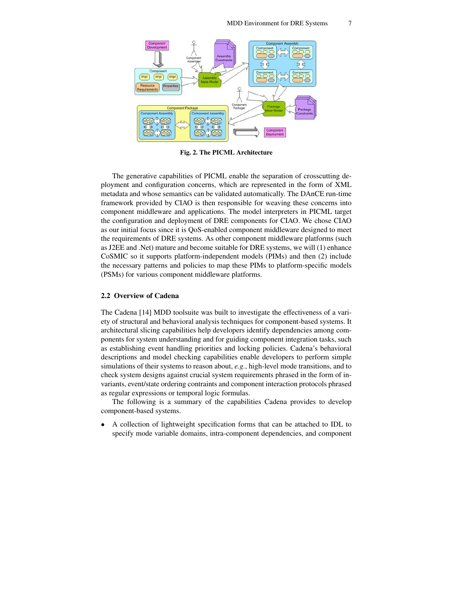

**Fig. 2. The PICML Architecture**

The generative capabilities of PICML enable the separation of crosscutting deployment and configuration concerns, which are represented in the form of XML metadata and whose semantics can be validated automatically. The DAnCE run-time framework provided by CIAO is then responsible for weaving these concerns into component middleware and applications. The model interpreters in PICML target the configuration and deployment of DRE components for CIAO. We chose CIAO as our initial focus since it is QoS-enabled component middleware designed to meet the requirements of DRE systems. As other component middleware platforms (such as J2EE and .Net) mature and become suitable for DRE systems, we will (1) enhance CoSMIC so it supports platform-independent models (PIMs) and then (2) include the necessary patterns and policies to map these PIMs to platform-specific models (PSMs) for various component middleware platforms.

# **2.2 Overview of Cadena**

The Cadena [14] MDD toolsuite was built to investigate the effectiveness of a variety of structural and behavioral analysis techniques for component-based systems. It architectural slicing capabilities help developers identify dependencies among components for system understanding and for guiding component integration tasks, such as establishing event handling priorities and locking policies. Cadena's behavioral descriptions and model checking capabilities enable developers to perform simple simulations of their systems to reason about, *e.g.*, high-level mode transitions, and to check system designs against crucial system requirements phrased in the form of invariants, event/state ordering contraints and component interaction protocols phrased as regular expressions or temporal logic formulas.

The following is a summary of the capabilities Cadena provides to develop component-based systems.

• A collection of lightweight specification forms that can be attached to IDL to specify mode variable domains, intra-component dependencies, and component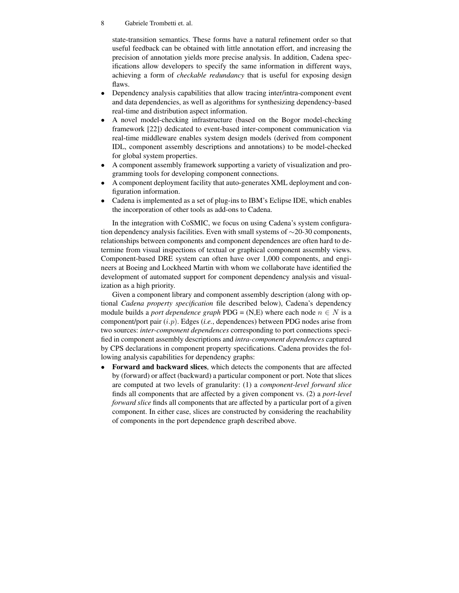state-transition semantics. These forms have a natural refinement order so that useful feedback can be obtained with little annotation effort, and increasing the precision of annotation yields more precise analysis. In addition, Cadena specifications allow developers to specify the same information in different ways, achieving a form of *checkable redundancy* that is useful for exposing design flaws.

- Dependency analysis capabilities that allow tracing inter/intra-component event and data dependencies, as well as algorithms for synthesizing dependency-based real-time and distribution aspect information.
- A novel model-checking infrastructure (based on the Bogor model-checking framework [22]) dedicated to event-based inter-component communication via real-time middleware enables system design models (derived from component IDL, component assembly descriptions and annotations) to be model-checked for global system properties.
- A component assembly framework supporting a variety of visualization and programming tools for developing component connections.
- A component deployment facility that auto-generates XML deployment and configuration information.
- Cadena is implemented as a set of plug-ins to IBM's Eclipse IDE, which enables the incorporation of other tools as add-ons to Cadena.

In the integration with CoSMIC, we focus on using Cadena's system configuration dependency analysis facilities. Even with small systems of ∼20-30 components, relationships between components and component dependences are often hard to determine from visual inspections of textual or graphical component assembly views. Component-based DRE system can often have over 1,000 components, and engineers at Boeing and Lockheed Martin with whom we collaborate have identified the development of automated support for component dependency analysis and visualization as a high priority.

Given a component library and component assembly description (along with optional *Cadena property specification* file described below), Cadena's dependency module builds a *port dependence graph* PDG = (N,E) where each node  $n \in N$  is a component/port pair (i.p). Edges (*i.e.*, dependences) between PDG nodes arise from two sources: *inter-component dependences* corresponding to port connections specified in component assembly descriptions and *intra-component dependences* captured by CPS declarations in component property specifications. Cadena provides the following analysis capabilities for dependency graphs:

• **Forward and backward slices**, which detects the components that are affected by (forward) or affect (backward) a particular component or port. Note that slices are computed at two levels of granularity: (1) a *component-level forward slice* finds all components that are affected by a given component vs. (2) a *port-level forward slice* finds all components that are affected by a particular port of a given component. In either case, slices are constructed by considering the reachability of components in the port dependence graph described above.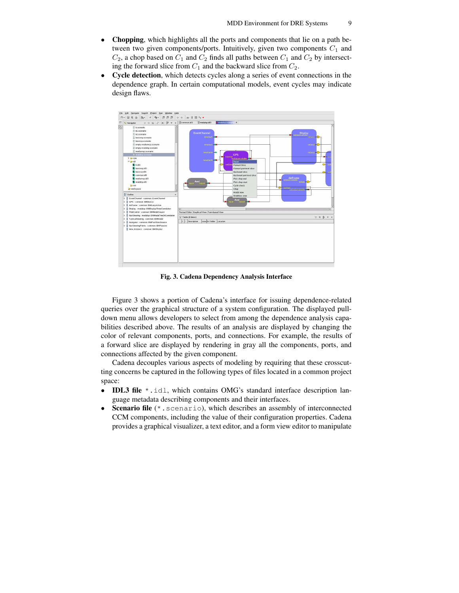- **Chopping**, which highlights all the ports and components that lie on a path between two given components/ports. Intuitively, given two components  $C_1$  and  $C_2$ , a chop based on  $C_1$  and  $C_2$  finds all paths between  $C_1$  and  $C_2$  by intersecting the forward slice from  $C_1$  and the backward slice from  $C_2$ .
- **Cycle detection**, which detects cycles along a series of event connections in the dependence graph. In certain computational models, event cycles may indicate design flaws.



**Fig. 3. Cadena Dependency Analysis Interface**

Figure 3 shows a portion of Cadena's interface for issuing dependence-related queries over the graphical structure of a system configuration. The displayed pulldown menu allows developers to select from among the dependence analysis capabilities described above. The results of an analysis are displayed by changing the color of relevant components, ports, and connections. For example, the results of a forward slice are displayed by rendering in gray all the components, ports, and connections affected by the given component.

Cadena decouples various aspects of modeling by requiring that these crosscutting concerns be captured in the following types of files located in a common project space:

- **IDL3 file** \*.idl, which contains OMG's standard interface description language metadata describing components and their interfaces.
- **Scenario file** (\*.scenario), which describes an assembly of interconnected CCM components, including the value of their configuration properties. Cadena provides a graphical visualizer, a text editor, and a form view editor to manipulate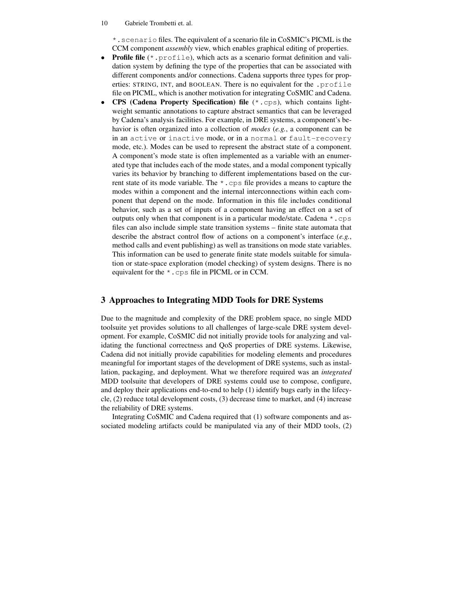\*.scenario files. The equivalent of a scenario file in CoSMIC's PICML is the CCM component *assembly* view, which enables graphical editing of properties.

- **Profile file** (\*.profile), which acts as a scenario format definition and validation system by defining the type of the properties that can be associated with different components and/or connections. Cadena supports three types for properties: STRING, INT, and BOOLEAN. There is no equivalent for the .profile file on PICML, which is another motivation for integrating CoSMIC and Cadena.
- **CPS (Cadena Property Specification) file** (\*.cps), which contains lightweight semantic annotations to capture abstract semantics that can be leveraged by Cadena's analysis facilities. For example, in DRE systems, a component's behavior is often organized into a collection of *modes* (*e.g.*, a component can be in an active or inactive mode, or in a normal or fault-recovery mode, etc.). Modes can be used to represent the abstract state of a component. A component's mode state is often implemented as a variable with an enumerated type that includes each of the mode states, and a modal component typically varies its behavior by branching to different implementations based on the current state of its mode variable. The \*.cps file provides a means to capture the modes within a component and the internal interconnections within each component that depend on the mode. Information in this file includes conditional behavior, such as a set of inputs of a component having an effect on a set of outputs only when that component is in a particular mode/state. Cadena \*.cps files can also include simple state transition systems – finite state automata that describe the abstract control flow of actions on a component's interface (*e.g.*, method calls and event publishing) as well as transitions on mode state variables. This information can be used to generate finite state models suitable for simulation or state-space exploration (model checking) of system designs. There is no equivalent for the \*.cps file in PICML or in CCM.

# **3 Approaches to Integrating MDD Tools for DRE Systems**

Due to the magnitude and complexity of the DRE problem space, no single MDD toolsuite yet provides solutions to all challenges of large-scale DRE system development. For example, CoSMIC did not initially provide tools for analyzing and validating the functional correctness and QoS properties of DRE systems. Likewise, Cadena did not initially provide capabilities for modeling elements and procedures meaningful for important stages of the development of DRE systems, such as installation, packaging, and deployment. What we therefore required was an *integrated* MDD toolsuite that developers of DRE systems could use to compose, configure, and deploy their applications end-to-end to help (1) identify bugs early in the lifecycle, (2) reduce total development costs, (3) decrease time to market, and (4) increase the reliability of DRE systems.

Integrating CoSMIC and Cadena required that (1) software components and associated modeling artifacts could be manipulated via any of their MDD tools, (2)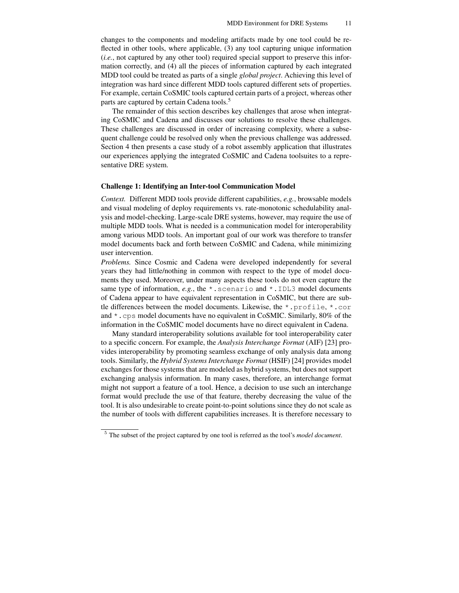changes to the components and modeling artifacts made by one tool could be reflected in other tools, where applicable, (3) any tool capturing unique information (*i.e.*, not captured by any other tool) required special support to preserve this information correctly, and (4) all the pieces of information captured by each integrated MDD tool could be treated as parts of a single *global project*. Achieving this level of integration was hard since different MDD tools captured different sets of properties. For example, certain CoSMIC tools captured certain parts of a project, whereas other parts are captured by certain Cadena tools.<sup>5</sup>

The remainder of this section describes key challenges that arose when integrating CoSMIC and Cadena and discusses our solutions to resolve these challenges. These challenges are discussed in order of increasing complexity, where a subsequent challenge could be resolved only when the previous challenge was addressed. Section 4 then presents a case study of a robot assembly application that illustrates our experiences applying the integrated CoSMIC and Cadena toolsuites to a representative DRE system.

### **Challenge 1: Identifying an Inter-tool Communication Model**

*Context.* Different MDD tools provide different capabilities, *e.g.*, browsable models and visual modeling of deploy requirements vs. rate-monotonic schedulability analysis and model-checking. Large-scale DRE systems, however, may require the use of multiple MDD tools. What is needed is a communication model for interoperability among various MDD tools. An important goal of our work was therefore to transfer model documents back and forth between CoSMIC and Cadena, while minimizing user intervention.

*Problems.* Since Cosmic and Cadena were developed independently for several years they had little/nothing in common with respect to the type of model documents they used. Moreover, under many aspects these tools do not even capture the same type of information,  $e.g.,$  the  $*$ . scenario and  $*$ . IDL3 model documents of Cadena appear to have equivalent representation in CoSMIC, but there are subtle differences between the model documents. Likewise, the \*.profile, \*.cor and \*.cps model documents have no equivalent in CoSMIC. Similarly, 80% of the information in the CoSMIC model documents have no direct equivalent in Cadena.

Many standard interoperability solutions available for tool interoperability cater to a specific concern. For example, the *Analysis Interchange Format* (AIF) [23] provides interoperability by promoting seamless exchange of only analysis data among tools. Similarly, the *Hybrid Systems Interchange Format* (HSIF) [24] provides model exchanges for those systems that are modeled as hybrid systems, but does not support exchanging analysis information. In many cases, therefore, an interchange format might not support a feature of a tool. Hence, a decision to use such an interchange format would preclude the use of that feature, thereby decreasing the value of the tool. It is also undesirable to create point-to-point solutions since they do not scale as the number of tools with different capabilities increases. It is therefore necessary to

<sup>5</sup> The subset of the project captured by one tool is referred as the tool's *model document*.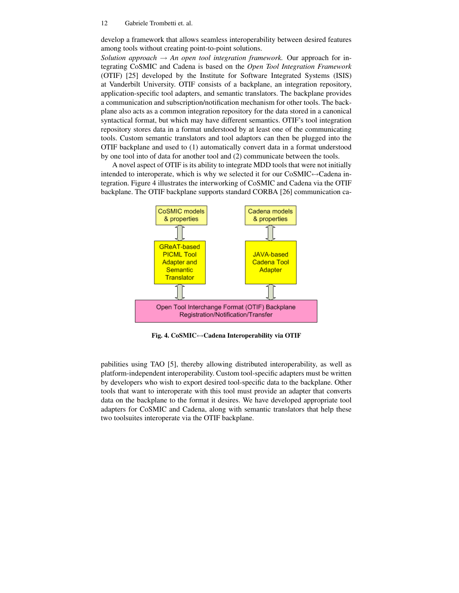develop a framework that allows seamless interoperability between desired features among tools without creating point-to-point solutions.

*Solution approach*  $\rightarrow$  *An open tool integration framework*. Our approach for integrating CoSMIC and Cadena is based on the *Open Tool Integration Framework* (OTIF) [25] developed by the Institute for Software Integrated Systems (ISIS) at Vanderbilt University. OTIF consists of a backplane, an integration repository, application-specific tool adapters, and semantic translators. The backplane provides a communication and subscription/notification mechanism for other tools. The backplane also acts as a common integration repository for the data stored in a canonical syntactical format, but which may have different semantics. OTIF's tool integration repository stores data in a format understood by at least one of the communicating tools. Custom semantic translators and tool adaptors can then be plugged into the OTIF backplane and used to (1) automatically convert data in a format understood by one tool into of data for another tool and (2) communicate between the tools.

A novel aspect of OTIF is its ability to integrate MDD tools that were not initially intended to interoperate, which is why we selected it for our  $CoSMIC \leftrightarrow Cađena$  integration. Figure 4 illustrates the interworking of CoSMIC and Cadena via the OTIF backplane. The OTIF backplane supports standard CORBA [26] communication ca-



**Fig. 4. CoSMIC**↔**Cadena Interoperability via OTIF**

pabilities using TAO [5], thereby allowing distributed interoperability, as well as platform-independent interoperability. Custom tool-specific adapters must be written by developers who wish to export desired tool-specific data to the backplane. Other tools that want to interoperate with this tool must provide an adapter that converts data on the backplane to the format it desires. We have developed appropriate tool adapters for CoSMIC and Cadena, along with semantic translators that help these two toolsuites interoperate via the OTIF backplane.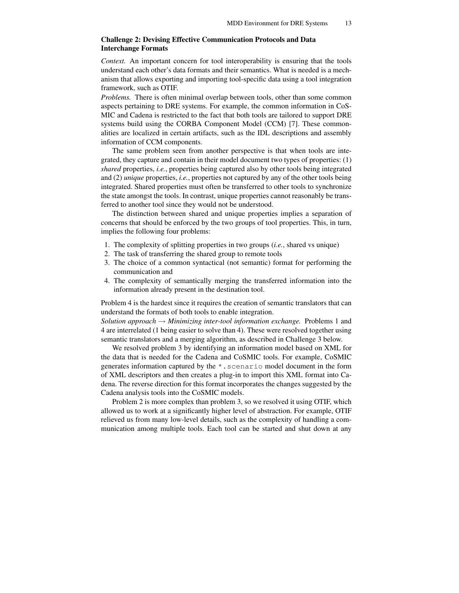# **Challenge 2: Devising Effective Communication Protocols and Data Interchange Formats**

*Context.* An important concern for tool interoperability is ensuring that the tools understand each other's data formats and their semantics. What is needed is a mechanism that allows exporting and importing tool-specific data using a tool integration framework, such as OTIF.

*Problems.* There is often minimal overlap between tools, other than some common aspects pertaining to DRE systems. For example, the common information in CoS-MIC and Cadena is restricted to the fact that both tools are tailored to support DRE systems build using the CORBA Component Model (CCM) [7]. These commonalities are localized in certain artifacts, such as the IDL descriptions and assembly information of CCM components.

The same problem seen from another perspective is that when tools are integrated, they capture and contain in their model document two types of properties: (1) *shared* properties, *i.e.*, properties being captured also by other tools being integrated and (2) *unique* properties, *i.e.*, properties not captured by any of the other tools being integrated. Shared properties must often be transferred to other tools to synchronize the state amongst the tools. In contrast, unique properties cannot reasonably be transferred to another tool since they would not be understood.

The distinction between shared and unique properties implies a separation of concerns that should be enforced by the two groups of tool properties. This, in turn, implies the following four problems:

- 1. The complexity of splitting properties in two groups (*i.e.*, shared vs unique)
- 2. The task of transferring the shared group to remote tools
- 3. The choice of a common syntactical (not semantic) format for performing the communication and
- 4. The complexity of semantically merging the transferred information into the information already present in the destination tool.

Problem 4 is the hardest since it requires the creation of semantic translators that can understand the formats of both tools to enable integration.

*Solution approach*  $\rightarrow$  *Minimizing inter-tool information exchange.* Problems 1 and 4 are interrelated (1 being easier to solve than 4). These were resolved together using semantic translators and a merging algorithm, as described in Challenge 3 below.

We resolved problem 3 by identifying an information model based on XML for the data that is needed for the Cadena and CoSMIC tools. For example, CoSMIC generates information captured by the \*.scenario model document in the form of XML descriptors and then creates a plug-in to import this XML format into Cadena. The reverse direction for this format incorporates the changes suggested by the Cadena analysis tools into the CoSMIC models.

Problem 2 is more complex than problem 3, so we resolved it using OTIF, which allowed us to work at a significantly higher level of abstraction. For example, OTIF relieved us from many low-level details, such as the complexity of handling a communication among multiple tools. Each tool can be started and shut down at any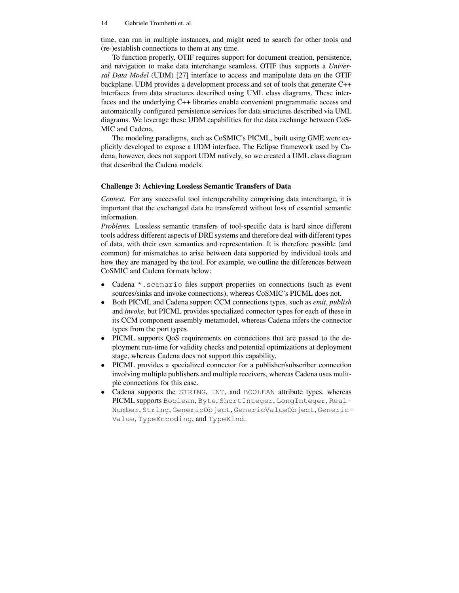time, can run in multiple instances, and might need to search for other tools and (re-)establish connections to them at any time.

To function properly, OTIF requires support for document creation, persistence, and navigation to make data interchange seamless. OTIF thus supports a *Universal Data Model* (UDM) [27] interface to access and manipulate data on the OTIF backplane. UDM provides a development process and set of tools that generate C++ interfaces from data structures described using UML class diagrams. These interfaces and the underlying C++ libraries enable convenient programmatic access and automatically configured persistence services for data structures described via UML diagrams. We leverage these UDM capabilities for the data exchange between CoS-MIC and Cadena.

The modeling paradigms, such as CoSMIC's PICML, built using GME were explicitly developed to expose a UDM interface. The Eclipse framework used by Cadena, however, does not support UDM natively, so we created a UML class diagram that described the Cadena models.

# **Challenge 3: Achieving Lossless Semantic Transfers of Data**

*Context.* For any successful tool interoperability comprising data interchange, it is important that the exchanged data be transferred without loss of essential semantic information.

*Problems.* Lossless semantic transfers of tool-specific data is hard since different tools address different aspects of DRE systems and therefore deal with different types of data, with their own semantics and representation. It is therefore possible (and common) for mismatches to arise between data supported by individual tools and how they are managed by the tool. For example, we outline the differences between CoSMIC and Cadena formats below:

- Cadena \*.scenario files support properties on connections (such as event sources/sinks and invoke connections), whereas CoSMIC's PICML does not.
- Both PICML and Cadena support CCM connections types, such as *emit*, *publish* and *invoke*, but PICML provides specialized connector types for each of these in its CCM component assembly metamodel, whereas Cadena infers the connector types from the port types.
- PICML supports QoS requirements on connections that are passed to the deployment run-time for validity checks and potential optimizations at deployment stage, whereas Cadena does not support this capability.
- PICML provides a specialized connector for a publisher/subscriber connection involving multiple publishers and multiple receivers, whereas Cadena uses mulitple connections for this case.
- Cadena supports the STRING, INT, and BOOLEAN attribute types, whereas PICML supports Boolean, Byte, ShortInteger, LongInteger, Real-Number, String, GenericObject, GenericValueObject, Generic-Value, TypeEncoding, and TypeKind.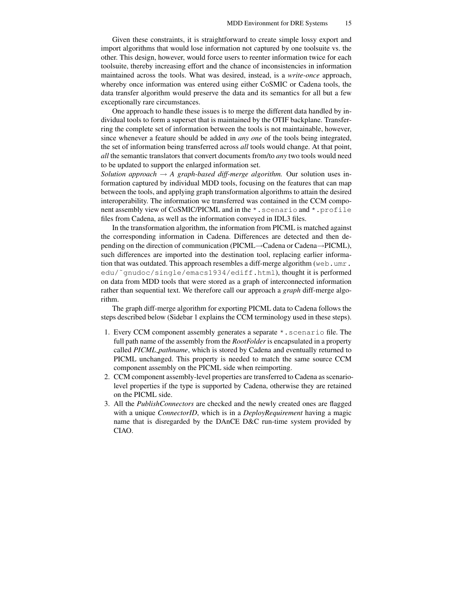Given these constraints, it is straightforward to create simple lossy export and import algorithms that would lose information not captured by one toolsuite vs. the other. This design, however, would force users to reenter information twice for each toolsuite, thereby increasing effort and the chance of inconsistencies in information maintained across the tools. What was desired, instead, is a *write-once* approach, whereby once information was entered using either CoSMIC or Cadena tools, the data transfer algorithm would preserve the data and its semantics for all but a few exceptionally rare circumstances.

One approach to handle these issues is to merge the different data handled by individual tools to form a superset that is maintained by the OTIF backplane. Transferring the complete set of information between the tools is not maintainable, however, since whenever a feature should be added in *any one* of the tools being integrated, the set of information being transferred across *all* tools would change. At that point, *all* the semantic translators that convert documents from/to *any* two tools would need to be updated to support the enlarged information set.

*Solution approach*  $\rightarrow$  *A graph-based diff-merge algorithm.* Our solution uses information captured by individual MDD tools, focusing on the features that can map between the tools, and applying graph transformation algorithms to attain the desired interoperability. The information we transferred was contained in the CCM component assembly view of CoSMIC/PICML and in the  $*$ . scenario and  $*$ . profile files from Cadena, as well as the information conveyed in IDL3 files.

In the transformation algorithm, the information from PICML is matched against the corresponding information in Cadena. Differences are detected and then depending on the direction of communication (PICML→Cadena or Cadena→PICML), such differences are imported into the destination tool, replacing earlier information that was outdated. This approach resembles a diff-merge algorithm (web.umr. edu/˜gnudoc/single/emacs1934/ediff.html), thought it is performed on data from MDD tools that were stored as a graph of interconnected information rather than sequential text. We therefore call our approach a *graph* diff-merge algorithm.

The graph diff-merge algorithm for exporting PICML data to Cadena follows the steps described below (Sidebar 1 explains the CCM terminology used in these steps).

- 1. Every CCM component assembly generates a separate \*.scenario file. The full path name of the assembly from the *RootFolder* is encapsulated in a property called *PICML pathname*, which is stored by Cadena and eventually returned to PICML unchanged. This property is needed to match the same source CCM component assembly on the PICML side when reimporting.
- 2. CCM component assembly-level properties are transferred to Cadena asscenariolevel properties if the type is supported by Cadena, otherwise they are retained on the PICML side.
- 3. All the *PublishConnectors* are checked and the newly created ones are flagged with a unique *ConnectorID*, which is in a *DeployRequirement* having a magic name that is disregarded by the DAnCE D&C run-time system provided by CIAO.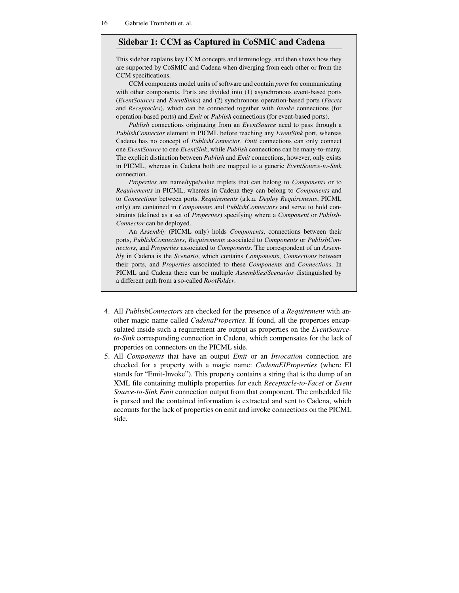# **Sidebar 1: CCM as Captured in CoSMIC and Cadena**

This sidebar explains key CCM concepts and terminology, and then shows how they are supported by CoSMIC and Cadena when diverging from each other or from the CCM specifications.

CCM components model units of software and contain *ports* for communicating with other components. Ports are divided into (1) asynchronous event-based ports (*EventSources* and *EventSinks*) and (2) synchronous operation-based ports (*Facets* and *Receptacles*), which can be connected together with *Invoke* connections (for operation-based ports) and *Emit* or *Publish* connections (for event-based ports).

*Publish* connections originating from an *EventSource* need to pass through a *PublishConnector* element in PICML before reaching any *EventSink* port, whereas Cadena has no concept of *PublishConnector*. *Emit* connections can only connect one *EventSource* to one *EventSink*, while *Publish* connections can be many-to-many. The explicit distinction between *Publish* and *Emit* connections, however, only exists in PICML, whereas in Cadena both are mapped to a generic *EventSource-to-Sink* connection.

*Properties* are name/type/value triplets that can belong to *Components* or to *Requirements* in PICML, whereas in Cadena they can belong to *Components* and to *Connections* between ports. *Requirements* (a.k.a. *Deploy Requirements*, PICML only) are contained in *Components* and *PublishConnectors* and serve to hold constraints (defined as a set of *Properties*) specifying where a *Component* or *Publish-Connector* can be deployed.

An *Assembly* (PICML only) holds *Components*, connections between their ports, *PublishConnectors*, *Requirements* associated to *Components* or *PublishConnectors*, and *Properties* associated to *Components*. The correspondent of an *Assembly* in Cadena is the *Scenario*, which contains *Components*, *Connections* between their ports, and *Properties* associated to these *Components* and *Connections*. In PICML and Cadena there can be multiple *Assemblies*/*Scenarios* distinguished by a different path from a so-called *RootFolder*.

- 4. All *PublishConnectors* are checked for the presence of a *Requirement* with another magic name called *CadenaProperties*. If found, all the properties encapsulated inside such a requirement are output as properties on the *EventSourceto-Sink* corresponding connection in Cadena, which compensates for the lack of properties on connectors on the PICML side.
- 5. All *Components* that have an output *Emit* or an *Invocation* connection are checked for a property with a magic name: *CadenaEIProperties* (where EI stands for "Emit-Invoke"). This property contains a string that is the dump of an XML file containing multiple properties for each *Receptacle-to-Facet* or *Event Source-to-Sink Emit* connection output from that component. The embedded file is parsed and the contained information is extracted and sent to Cadena, which accounts for the lack of properties on emit and invoke connections on the PICML side.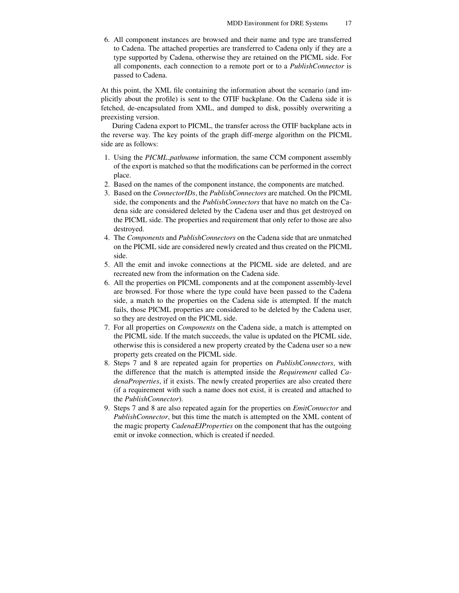6. All component instances are browsed and their name and type are transferred to Cadena. The attached properties are transferred to Cadena only if they are a type supported by Cadena, otherwise they are retained on the PICML side. For all components, each connection to a remote port or to a *PublishConnector* is passed to Cadena.

At this point, the XML file containing the information about the scenario (and implicitly about the profile) is sent to the OTIF backplane. On the Cadena side it is fetched, de-encapsulated from XML, and dumped to disk, possibly overwriting a preexisting version.

During Cadena export to PICML, the transfer across the OTIF backplane acts in the reverse way. The key points of the graph diff-merge algorithm on the PICML side are as follows:

- 1. Using the *PICML pathname* information, the same CCM component assembly of the export is matched so that the modifications can be performed in the correct place.
- 2. Based on the names of the component instance, the components are matched.
- 3. Based on the *ConnectorIDs*, the *PublishConnectors* are matched. On the PICML side, the components and the *PublishConnectors* that have no match on the Cadena side are considered deleted by the Cadena user and thus get destroyed on the PICML side. The properties and requirement that only refer to those are also destroyed.
- 4. The *Components* and *PublishConnectors* on the Cadena side that are unmatched on the PICML side are considered newly created and thus created on the PICML side.
- 5. All the emit and invoke connections at the PICML side are deleted, and are recreated new from the information on the Cadena side.
- 6. All the properties on PICML components and at the component assembly-level are browsed. For those where the type could have been passed to the Cadena side, a match to the properties on the Cadena side is attempted. If the match fails, those PICML properties are considered to be deleted by the Cadena user, so they are destroyed on the PICML side.
- 7. For all properties on *Components* on the Cadena side, a match is attempted on the PICML side. If the match succeeds, the value is updated on the PICML side, otherwise this is considered a new property created by the Cadena user so a new property gets created on the PICML side.
- 8. Steps 7 and 8 are repeated again for properties on *PublishConnectors*, with the difference that the match is attempted inside the *Requirement* called *CadenaProperties*, if it exists. The newly created properties are also created there (if a requirement with such a name does not exist, it is created and attached to the *PublishConnector*).
- 9. Steps 7 and 8 are also repeated again for the properties on *EmitConnector* and *PublishConnector*, but this time the match is attempted on the XML content of the magic property *CadenaEIProperties* on the component that has the outgoing emit or invoke connection, which is created if needed.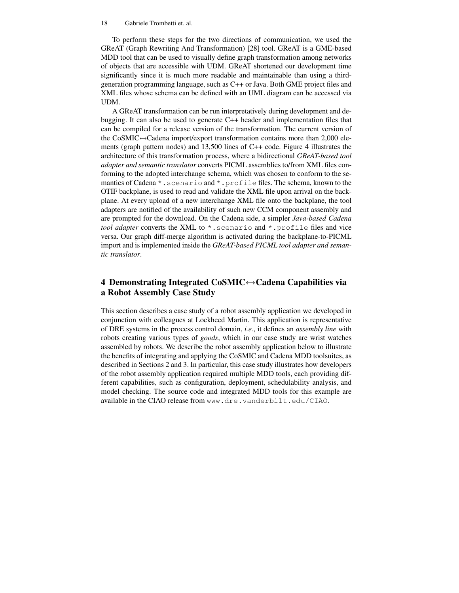To perform these steps for the two directions of communication, we used the GReAT (Graph Rewriting And Transformation) [28] tool. GReAT is a GME-based MDD tool that can be used to visually define graph transformation among networks of objects that are accessible with UDM. GReAT shortened our development time significantly since it is much more readable and maintainable than using a thirdgeneration programming language, such as C++ or Java. Both GME project files and XML files whose schema can be defined with an UML diagram can be accessed via UDM.

A GReAT transformation can be run interpretatively during development and debugging. It can also be used to generate C++ header and implementation files that can be compiled for a release version of the transformation. The current version of the CoSMIC $\leftrightarrow$ Cadena import/export transformation contains more than 2,000 elements (graph pattern nodes) and 13,500 lines of C++ code. Figure 4 illustrates the architecture of this transformation process, where a bidirectional *GReAT-based tool adapter and semantic translator* converts PICML assemblies to/from XML files conforming to the adopted interchange schema, which was chosen to conform to the semantics of Cadena  $\star$ . scenario and  $\star$ . profile files. The schema, known to the OTIF backplane, is used to read and validate the XML file upon arrival on the backplane. At every upload of a new interchange XML file onto the backplane, the tool adapters are notified of the availability of such new CCM component assembly and are prompted for the download. On the Cadena side, a simpler *Java-based Cadena tool adapter* converts the XML to \*.scenario and \*.profile files and vice versa. Our graph diff-merge algorithm is activated during the backplane-to-PICML import and is implemented inside the *GReAT-based PICML tool adapter and semantic translator*.

# **4 Demonstrating Integrated CoSMIC**↔**Cadena Capabilities via a Robot Assembly Case Study**

This section describes a case study of a robot assembly application we developed in conjunction with colleagues at Lockheed Martin. This application is representative of DRE systems in the process control domain, *i.e.*, it defines an *assembly line* with robots creating various types of *goods*, which in our case study are wrist watches assembled by robots. We describe the robot assembly application below to illustrate the benefits of integrating and applying the CoSMIC and Cadena MDD toolsuites, as described in Sections 2 and 3. In particular, this case study illustrates how developers of the robot assembly application required multiple MDD tools, each providing different capabilities, such as configuration, deployment, schedulability analysis, and model checking. The source code and integrated MDD tools for this example are available in the CIAO release from www.dre.vanderbilt.edu/CIAO.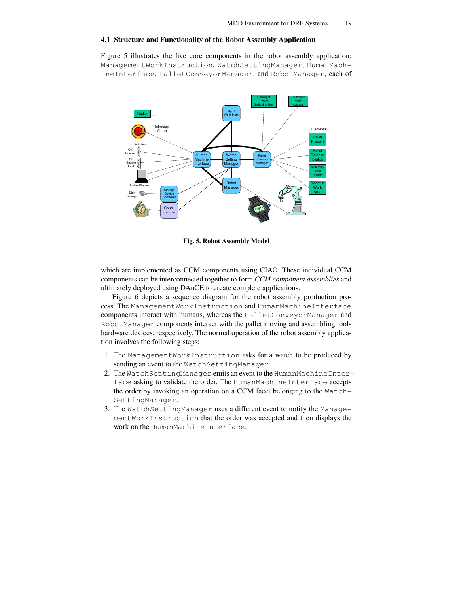# **4.1 Structure and Functionality of the Robot Assembly Application**

Figure 5 illustrates the five core components in the robot assembly application: ManagementWorkInstruction, WatchSettingManager, HumanMachineInterface, PalletConveyorManager, and RobotManager, each of



**Fig. 5. Robot Assembly Model**

which are implemented as CCM components using CIAO. These individual CCM components can be interconnected together to form *CCM component assemblies* and ultimately deployed using DAnCE to create complete applications.

Figure 6 depicts a sequence diagram for the robot assembly production process. The ManagementWorkInstruction and HumanMachineInterface components interact with humans, whereas the PalletConveyorManager and RobotManager components interact with the pallet moving and assembling tools hardware devices, respectively. The normal operation of the robot assembly application involves the following steps:

- 1. The ManagementWorkInstruction asks for a watch to be produced by sending an event to the WatchSettingManager.
- 2. The WatchSettingManager emits an event to the HumanMachineInterface asking to validate the order. The HumanMachineInterface accepts the order by invoking an operation on a CCM facet belonging to the Watch-SettingManager.
- 3. The WatchSettingManager uses a different event to notify the ManagementWorkInstruction that the order was accepted and then displays the work on the HumanMachineInterface.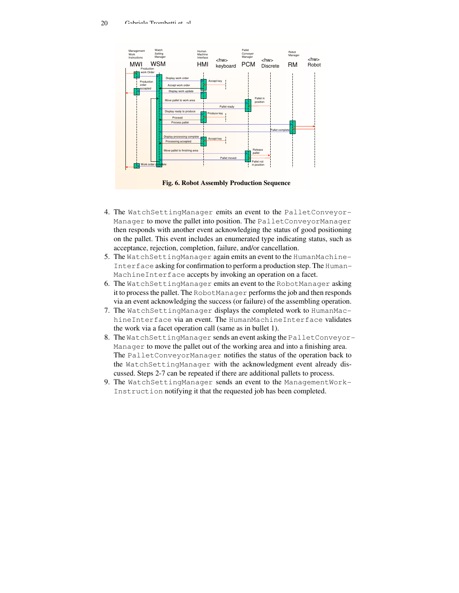

**Fig. 6. Robot Assembly Production Sequence**

- 4. The WatchSettingManager emits an event to the PalletConveyor-Manager to move the pallet into position. The PalletConveyorManager then responds with another event acknowledging the status of good positioning on the pallet. This event includes an enumerated type indicating status, such as acceptance, rejection, completion, failure, and/or cancellation.
- 5. The WatchSettingManager again emits an event to the HumanMachine-Interface asking for confirmation to perform a production step. The Human-MachineInterface accepts by invoking an operation on a facet.
- 6. The WatchSettingManager emits an event to the RobotManager asking it to process the pallet. The RobotManager performs the job and then responds via an event acknowledging the success (or failure) of the assembling operation.
- 7. The WatchSettingManager displays the completed work to HumanMachineInterface via an event. The HumanMachineInterface validates the work via a facet operation call (same as in bullet 1).
- 8. The WatchSettingManager sends an event asking the PalletConveyor-Manager to move the pallet out of the working area and into a finishing area. The PalletConveyorManager notifies the status of the operation back to the WatchSettingManager with the acknowledgment event already discussed. Steps 2-7 can be repeated if there are additional pallets to process.
- 9. The WatchSettingManager sends an event to the ManagementWork-Instruction notifying it that the requested job has been completed.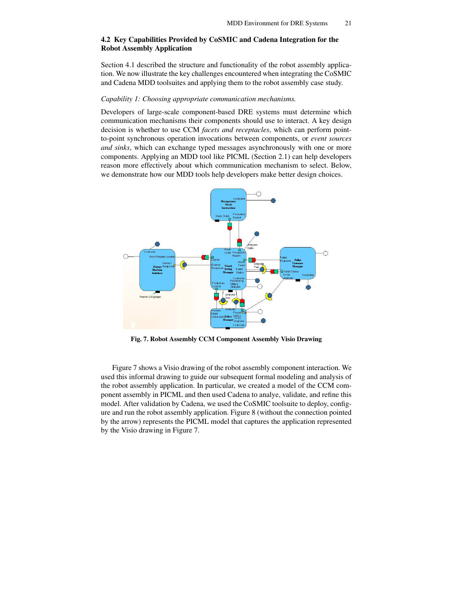# **4.2 Key Capabilities Provided by CoSMIC and Cadena Integration for the Robot Assembly Application**

Section 4.1 described the structure and functionality of the robot assembly application. We now illustrate the key challenges encountered when integrating the CoSMIC and Cadena MDD toolsuites and applying them to the robot assembly case study.

### *Capability 1: Choosing appropriate communication mechanisms.*

Developers of large-scale component-based DRE systems must determine which communication mechanisms their components should use to interact. A key design decision is whether to use CCM *facets and receptacles*, which can perform pointto-point synchronous operation invocations between components, or *event sources and sinks*, which can exchange typed messages asynchronously with one or more components. Applying an MDD tool like PICML (Section 2.1) can help developers reason more effectively about which communication mechanism to select. Below, we demonstrate how our MDD tools help developers make better design choices.



**Fig. 7. Robot Assembly CCM Component Assembly Visio Drawing**

Figure 7 shows a Visio drawing of the robot assembly component interaction. We used this informal drawing to guide our subsequent formal modeling and analysis of the robot assembly application. In particular, we created a model of the CCM component assembly in PICML and then used Cadena to analye, validate, and refine this model. After validation by Cadena, we used the CoSMIC toolsuite to deploy, configure and run the robot assembly application. Figure 8 (without the connection pointed by the arrow) represents the PICML model that captures the application represented by the Visio drawing in Figure 7.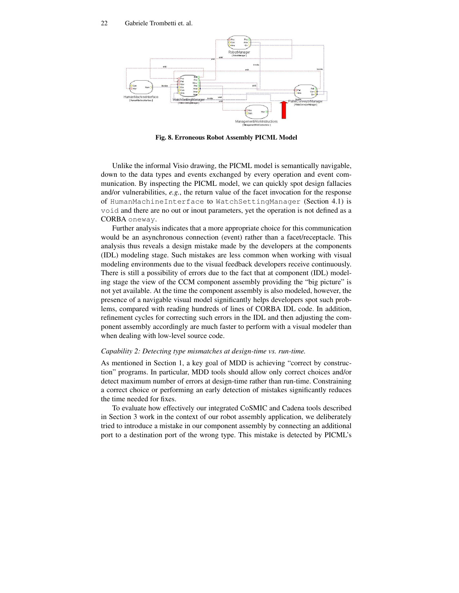

**Fig. 8. Erroneous Robot Assembly PICML Model**

Unlike the informal Visio drawing, the PICML model is semantically navigable, down to the data types and events exchanged by every operation and event communication. By inspecting the PICML model, we can quickly spot design fallacies and/or vulnerabilities, *e.g.*, the return value of the facet invocation for the response of HumanMachineInterface to WatchSettingManager (Section 4.1) is void and there are no out or inout parameters, yet the operation is not defined as a CORBA oneway.

Further analysis indicates that a more appropriate choice for this communication would be an asynchronous connection (event) rather than a facet/receptacle. This analysis thus reveals a design mistake made by the developers at the components (IDL) modeling stage. Such mistakes are less common when working with visual modeling environments due to the visual feedback developers receive continuously. There is still a possibility of errors due to the fact that at component (IDL) modeling stage the view of the CCM component assembly providing the "big picture" is not yet available. At the time the component assembly is also modeled, however, the presence of a navigable visual model significantly helps developers spot such problems, compared with reading hundreds of lines of CORBA IDL code. In addition, refinement cycles for correcting such errors in the IDL and then adjusting the component assembly accordingly are much faster to perform with a visual modeler than when dealing with low-level source code.

#### *Capability 2: Detecting type mismatches at design-time vs. run-time.*

As mentioned in Section 1, a key goal of MDD is achieving "correct by construction" programs. In particular, MDD tools should allow only correct choices and/or detect maximum number of errors at design-time rather than run-time. Constraining a correct choice or performing an early detection of mistakes significantly reduces the time needed for fixes.

To evaluate how effectively our integrated CoSMIC and Cadena tools described in Section 3 work in the context of our robot assembly application, we deliberately tried to introduce a mistake in our component assembly by connecting an additional port to a destination port of the wrong type. This mistake is detected by PICML's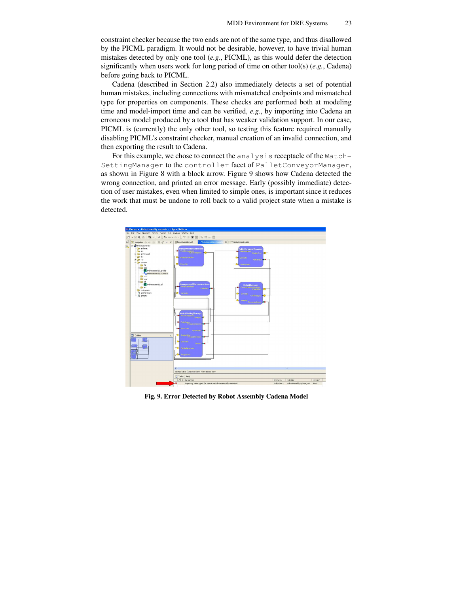constraint checker because the two ends are not of the same type, and thus disallowed by the PICML paradigm. It would not be desirable, however, to have trivial human mistakes detected by only one tool (*e.g.*, PICML), as this would defer the detection significantly when users work for long period of time on other tool(s) (*e.g.*, Cadena) before going back to PICML.

Cadena (described in Section 2.2) also immediately detects a set of potential human mistakes, including connections with mismatched endpoints and mismatched type for properties on components. These checks are performed both at modeling time and model-import time and can be verified, *e.g.*, by importing into Cadena an erroneous model produced by a tool that has weaker validation support. In our case, PICML is (currently) the only other tool, so testing this feature required manually disabling PICML's constraint checker, manual creation of an invalid connection, and then exporting the result to Cadena.

For this example, we chose to connect the analysis receptacle of the Watch-SettingManager to the controller facet of PalletConveyorManager, as shown in Figure 8 with a block arrow. Figure 9 shows how Cadena detected the wrong connection, and printed an error message. Early (possibly immediate) detection of user mistakes, even when limited to simple ones, is important since it reduces the work that must be undone to roll back to a valid project state when a mistake is detected.



**Fig. 9. Error Detected by Robot Assembly Cadena Model**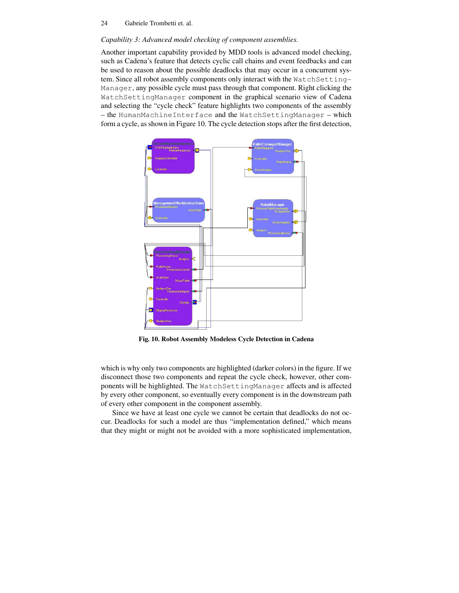### *Capability 3: Advanced model checking of component assemblies.*

Another important capability provided by MDD tools is advanced model checking, such as Cadena's feature that detects cyclic call chains and event feedbacks and can be used to reason about the possible deadlocks that may occur in a concurrent system. Since all robot assembly components only interact with the WatchSetting-Manager, any possible cycle must pass through that component. Right clicking the WatchSettingManager component in the graphical scenario view of Cadena and selecting the "cycle check" feature highlights two components of the assembly – the HumanMachineInterface and the WatchSettingManager – which form a cycle, as shown in Figure 10. The cycle detection stops after the first detection,



**Fig. 10. Robot Assembly Modeless Cycle Detection in Cadena**

which is why only two components are highlighted (darker colors) in the figure. If we disconnect those two components and repeat the cycle check, however, other components will be highlighted. The WatchSettingManager affects and is affected by every other component, so eventually every component is in the downstream path of every other component in the component assembly.

Since we have at least one cycle we cannot be certain that deadlocks do not occur. Deadlocks for such a model are thus "implementation defined," which means that they might or might not be avoided with a more sophisticated implementation,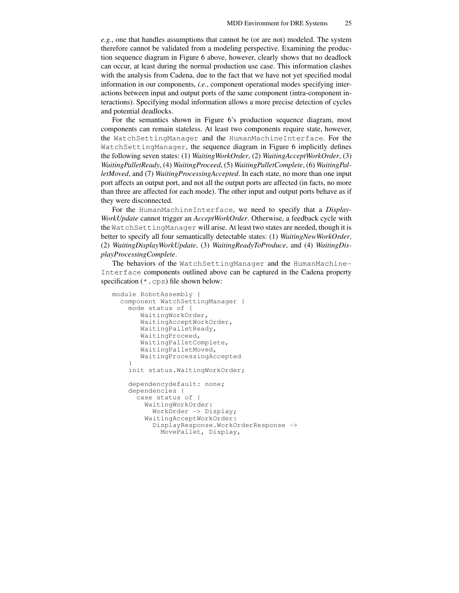*e.g.*, one that handles assumptions that cannot be (or are not) modeled. The system therefore cannot be validated from a modeling perspective. Examining the production sequence diagram in Figure 6 above, however, clearly shows that no deadlock can occur, at least during the normal production use case. This information clashes with the analysis from Cadena, due to the fact that we have not yet specified modal information in our components, *i.e.*, component operational modes specifying interactions between input and output ports of the same component (intra-component interactions). Specifying modal information allows a more precise detection of cycles and potential deadlocks.

For the semantics shown in Figure 6's production sequence diagram, most components can remain stateless. At least two components require state, however, the WatchSettingManager and the HumanMachineInterface. For the WatchSettingManager, the sequence diagram in Figure 6 implicitly defines the following seven states: (1) *WaitingWorkOrder*, (2) *WaitingAcceptWorkOrder*, (3) *WaitingPalletReady*, (4) *WaitingProceed*, (5) *WaitingPalletComplete*, (6) *WaitingPalletMoved*, and (7) *WaitingProcessingAccepted*. In each state, no more than one input port affects an output port, and not all the output ports are affected (in facts, no more than three are affected for each mode). The other input and output ports behave as if they were disconnected.

For the HumanMachineInterface, we need to specify that a *Display-WorkUpdate* cannot trigger an *AcceptWorkOrder*. Otherwise, a feedback cycle with the WatchSettingManager will arise. At least two states are needed, though it is better to specify all four semantically detectable states: (1) *WaitingNewWorkOrder*, (2) *WaitingDisplayWorkUpdate*, (3) *WaitingReadyToProduce*, and (4) *WaitingDisplayProcessingComplete*.

The behaviors of the WatchSettingManager and the HumanMachine-Interface components outlined above can be captured in the Cadena property specification ( $\star$ .cps) file shown below:

```
module RobotAssembly {
  component WatchSettingManager {
    mode status of {
       WaitingWorkOrder,
       WaitingAcceptWorkOrder,
       WaitingPalletReady,
       WaitingProceed,
       WaitingPalletComplete,
       WaitingPalletMoved,
       WaitingProcessingAccepted
    }
    init status.WaitingWorkOrder;
    dependencydefault: none;
    dependencies {
      case status of {
        WaitingWorkOrder:
          WorkOrder -> Display;
        WaitingAcceptWorkOrder:
          DisplayResponse.WorkOrderResponse ->
            MovePallet, Display,
```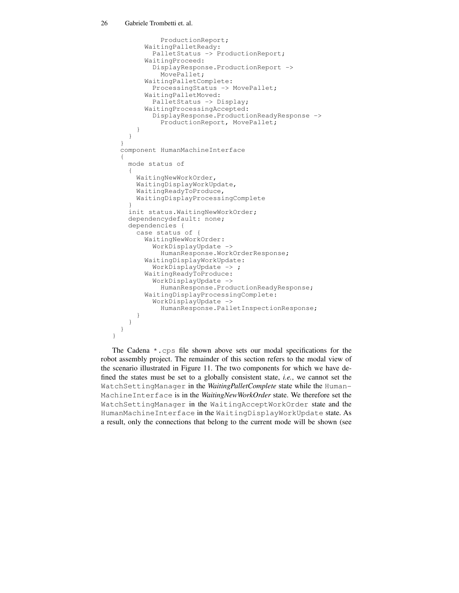```
ProductionReport;
       WaitingPalletReady:
         PalletStatus -> ProductionReport;
        WaitingProceed:
         DisplayResponse.ProductionReport ->
            MovePallet;
       WaitingPalletComplete:
         ProcessingStatus -> MovePallet;
       WaitingPalletMoved:
         PalletStatus -> Display;
        WaitingProcessingAccepted:
         DisplayResponse.ProductionReadyResponse ->
            ProductionReport, MovePallet;
     }
    }
  }
 component HumanMachineInterface
  {
   mode status of
    {
     WaitingNewWorkOrder,
     WaitingDisplayWorkUpdate,
     WaitingReadyToProduce,
     WaitingDisplayProcessingComplete
    }
   init status.WaitingNewWorkOrder;
   dependencydefault: none;
   dependencies {
     case status of {
       WaitingNewWorkOrder:
         WorkDisplayUpdate ->
            HumanResponse.WorkOrderResponse;
       WaitingDisplayWorkUpdate:
         WorkDisplayUpdate -> ;
       WaitingReadyToProduce:
          WorkDisplayUpdate ->
            HumanResponse.ProductionReadyResponse;
        WaitingDisplayProcessingComplete:
          WorkDisplayUpdate ->
            HumanResponse.PalletInspectionResponse;
      }
   }
 }
}
```
The Cadena \*.cps file shown above sets our modal specifications for the robot assembly project. The remainder of this section refers to the modal view of the scenario illustrated in Figure 11. The two components for which we have defined the states must be set to a globally consistent state, *i.e.*, we cannot set the WatchSettingManager in the *WaitingPalletComplete* state while the Human-MachineInterface is in the *WaitingNewWorkOrder* state. We therefore set the WatchSettingManager in the WaitingAcceptWorkOrder state and the HumanMachineInterface in the WaitingDisplayWorkUpdate state. As a result, only the connections that belong to the current mode will be shown (see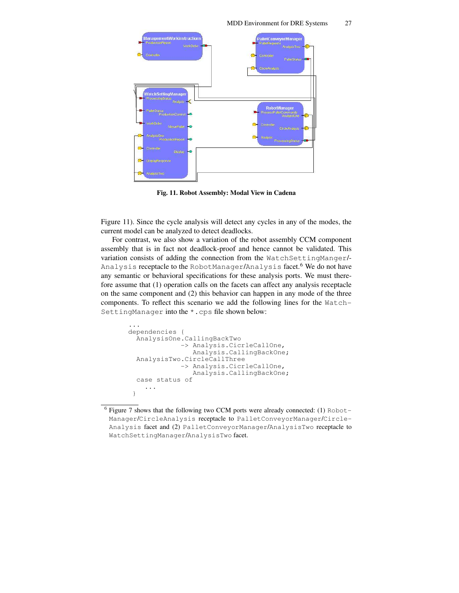

**Fig. 11. Robot Assembly: Modal View in Cadena**

Figure 11). Since the cycle analysis will detect any cycles in any of the modes, the current model can be analyzed to detect deadlocks.

For contrast, we also show a variation of the robot assembly CCM component assembly that is in fact not deadlock-proof and hence cannot be validated. This variation consists of adding the connection from the WatchSettingManger/- Analysis receptacle to the RobotManager/Analysis facet.<sup>6</sup> We do not have any semantic or behavioral specifications for these analysis ports. We must therefore assume that (1) operation calls on the facets can affect any analysis receptacle on the same component and (2) this behavior can happen in any mode of the three components. To reflect this scenario we add the following lines for the Watch-SettingManager into the \*.cps file shown below:

```
...
dependencies {
 AnalysisOne.CallingBackTwo
             -> Analysis.CicrleCallOne,
                Analysis.CallingBackOne;
  AnalysisTwo.CircleCallThree
             -> Analysis.CicrleCallOne,
                Analysis.CallingBackOne;
  case status of
    ...
 }
```
 $6$  Figure 7 shows that the following two CCM ports were already connected: (1) Robot-Manager/CircleAnalysis receptacle to PalletConveyorManager/Circle-Analysis facet and (2) PalletConveyorManager/AnalysisTwo receptacle to WatchSettingManager/AnalysisTwo facet.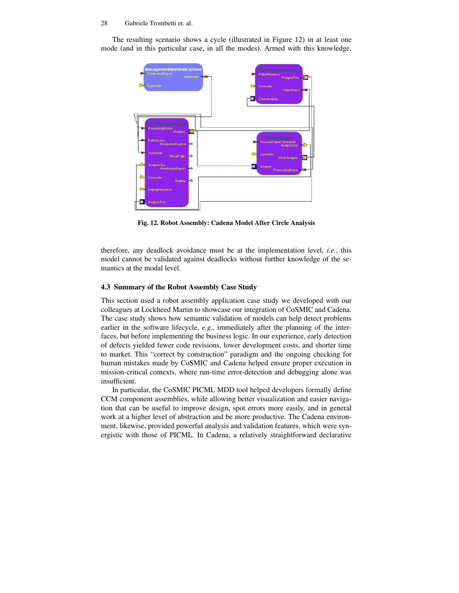The resulting scenario shows a cycle (illustrated in Figure 12) in at least one mode (and in this particular case, in all the modes). Armed with this knowledge,



**Fig. 12. Robot Assembly: Cadena Model After Circle Analysis**

therefore, any deadlock avoidance must be at the implementation level, *i.e.*, this model cannot be validated against deadlocks without further knowledge of the semantics at the modal level.

# **4.3 Summary of the Robot Assembly Case Study**

This section used a robot assembly application case study we developed with our colleagues at Lockheed Martin to showcase our integration of CoSMIC and Cadena. The case study shows how semantic validation of models can help detect problems earlier in the software lifecycle, *e.g.*, immediately after the planning of the interfaces, but before implementing the business logic. In our experience, early detection of defects yielded fewer code revisions, lower development costs, and shorter time to market. This "correct by construction" paradigm and the ongoing checking for human mistakes made by CoSMIC and Cadena helped ensure proper execution in mission-critical contexts, where run-time error-detection and debugging alone was insufficient.

In particular, the CoSMIC PICML MDD tool helped developers formally define CCM component assemblies, while allowing better visualization and easier navigation that can be useful to improve design, spot errors more easily, and in general work at a higher level of abstraction and be more productive. The Cadena environment, likewise, provided powerful analysis and validation features, which were synergistic with those of PICML. In Cadena, a relatively straightforward declarative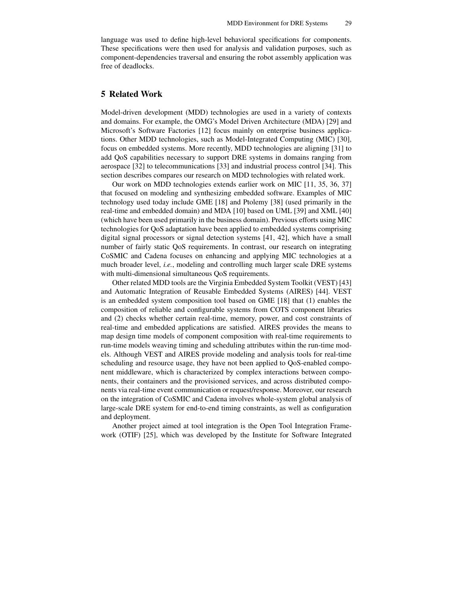language was used to define high-level behavioral specifications for components. These specifications were then used for analysis and validation purposes, such as component-dependencies traversal and ensuring the robot assembly application was free of deadlocks.

# **5 Related Work**

Model-driven development (MDD) technologies are used in a variety of contexts and domains. For example, the OMG's Model Driven Architecture (MDA) [29] and Microsoft's Software Factories [12] focus mainly on enterprise business applications. Other MDD technologies, such as Model-Integrated Computing (MIC) [30], focus on embedded systems. More recently, MDD technologies are aligning [31] to add QoS capabilities necessary to support DRE systems in domains ranging from aerospace [32] to telecommunications [33] and industrial process control [34]. This section describes compares our research on MDD technologies with related work.

Our work on MDD technologies extends earlier work on MIC [11, 35, 36, 37] that focused on modeling and synthesizing embedded software. Examples of MIC technology used today include GME [18] and Ptolemy [38] (used primarily in the real-time and embedded domain) and MDA [10] based on UML [39] and XML [40] (which have been used primarily in the business domain). Previous efforts using MIC technologies for QoS adaptation have been applied to embedded systems comprising digital signal processors or signal detection systems [41, 42], which have a small number of fairly static QoS requirements. In contrast, our research on integrating CoSMIC and Cadena focuses on enhancing and applying MIC technologies at a much broader level, *i.e.*, modeling and controlling much larger scale DRE systems with multi-dimensional simultaneous QoS requirements.

Other related MDD tools are the Virginia Embedded System Toolkit (VEST) [43] and Automatic Integration of Reusable Embedded Systems (AIRES) [44]. VEST is an embedded system composition tool based on GME [18] that (1) enables the composition of reliable and configurable systems from COTS component libraries and (2) checks whether certain real-time, memory, power, and cost constraints of real-time and embedded applications are satisfied. AIRES provides the means to map design time models of component composition with real-time requirements to run-time models weaving timing and scheduling attributes within the run-time models. Although VEST and AIRES provide modeling and analysis tools for real-time scheduling and resource usage, they have not been applied to QoS-enabled component middleware, which is characterized by complex interactions between components, their containers and the provisioned services, and across distributed components via real-time event communication or request/response. Moreover, our research on the integration of CoSMIC and Cadena involves whole-system global analysis of large-scale DRE system for end-to-end timing constraints, as well as configuration and deployment.

Another project aimed at tool integration is the Open Tool Integration Framework (OTIF) [25], which was developed by the Institute for Software Integrated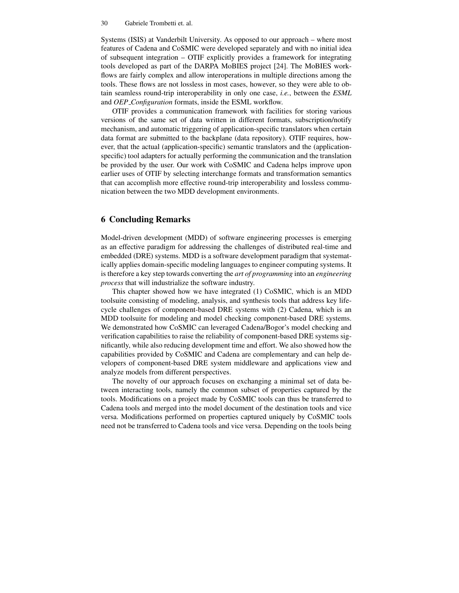Systems (ISIS) at Vanderbilt University. As opposed to our approach – where most features of Cadena and CoSMIC were developed separately and with no initial idea of subsequent integration – OTIF explicitly provides a framework for integrating tools developed as part of the DARPA MoBIES project [24]. The MoBIES workflows are fairly complex and allow interoperations in multiple directions among the tools. These flows are not lossless in most cases, however, so they were able to obtain seamless round-trip interoperability in only one case, *i.e.*, between the *ESML* and *OEP Configuration* formats, inside the ESML workflow.

OTIF provides a communication framework with facilities for storing various versions of the same set of data written in different formats, subscription/notify mechanism, and automatic triggering of application-specific translators when certain data format are submitted to the backplane (data repository). OTIF requires, however, that the actual (application-specific) semantic translators and the (applicationspecific) tool adapters for actually performing the communication and the translation be provided by the user. Our work with CoSMIC and Cadena helps improve upon earlier uses of OTIF by selecting interchange formats and transformation semantics that can accomplish more effective round-trip interoperability and lossless communication between the two MDD development environments.

# **6 Concluding Remarks**

Model-driven development (MDD) of software engineering processes is emerging as an effective paradigm for addressing the challenges of distributed real-time and embedded (DRE) systems. MDD is a software development paradigm that systematically applies domain-specific modeling languages to engineer computing systems. It is therefore a key step towards converting the *art of programming* into an *engineering process* that will industrialize the software industry.

This chapter showed how we have integrated (1) CoSMIC, which is an MDD toolsuite consisting of modeling, analysis, and synthesis tools that address key lifecycle challenges of component-based DRE systems with (2) Cadena, which is an MDD toolsuite for modeling and model checking component-based DRE systems. We demonstrated how CoSMIC can leveraged Cadena/Bogor's model checking and verification capabilities to raise the reliability of component-based DRE systems significantly, while also reducing development time and effort. We also showed how the capabilities provided by CoSMIC and Cadena are complementary and can help developers of component-based DRE system middleware and applications view and analyze models from different perspectives.

The novelty of our approach focuses on exchanging a minimal set of data between interacting tools, namely the common subset of properties captured by the tools. Modifications on a project made by CoSMIC tools can thus be transferred to Cadena tools and merged into the model document of the destination tools and vice versa. Modifications performed on properties captured uniquely by CoSMIC tools need not be transferred to Cadena tools and vice versa. Depending on the tools being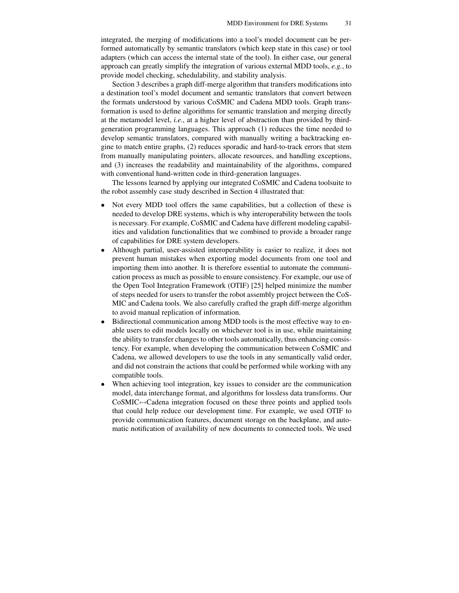integrated, the merging of modifications into a tool's model document can be performed automatically by semantic translators (which keep state in this case) or tool adapters (which can access the internal state of the tool). In either case, our general approach can greatly simplify the integration of various external MDD tools, *e.g.*, to provide model checking, schedulability, and stability analysis.

Section 3 describes a graph diff-merge algorithm that transfers modifications into a destination tool's model document and semantic translators that convert between the formats understood by various CoSMIC and Cadena MDD tools. Graph transformation is used to define algorithms for semantic translation and merging directly at the metamodel level, *i.e.*, at a higher level of abstraction than provided by thirdgeneration programming languages. This approach (1) reduces the time needed to develop semantic translators, compared with manually writing a backtracking engine to match entire graphs, (2) reduces sporadic and hard-to-track errors that stem from manually manipulating pointers, allocate resources, and handling exceptions, and (3) increases the readability and maintainability of the algorithms, compared with conventional hand-written code in third-generation languages.

The lessons learned by applying our integrated CoSMIC and Cadena toolsuite to the robot assembly case study described in Section 4 illustrated that:

- Not every MDD tool offers the same capabilities, but a collection of these is needed to develop DRE systems, which is why interoperability between the tools is necessary. For example, CoSMIC and Cadena have different modeling capabilities and validation functionalities that we combined to provide a broader range of capabilities for DRE system developers.
- Although partial, user-assisted interoperability is easier to realize, it does not prevent human mistakes when exporting model documents from one tool and importing them into another. It is therefore essential to automate the communication process as much as possible to ensure consistency. For example, our use of the Open Tool Integration Framework (OTIF) [25] helped minimize the number of steps needed for users to transfer the robot assembly project between the CoS-MIC and Cadena tools. We also carefully crafted the graph diff-merge algorithm to avoid manual replication of information.
- Bidirectional communication among MDD tools is the most effective way to enable users to edit models locally on whichever tool is in use, while maintaining the ability to transfer changes to other tools automatically, thus enhancing consistency. For example, when developing the communication between CoSMIC and Cadena, we allowed developers to use the tools in any semantically valid order, and did not constrain the actions that could be performed while working with any compatible tools.
- When achieving tool integration, key issues to consider are the communication model, data interchange format, and algorithms for lossless data transforms. Our CoSMIC↔Cadena integration focused on these three points and applied tools that could help reduce our development time. For example, we used OTIF to provide communication features, document storage on the backplane, and automatic notification of availability of new documents to connected tools. We used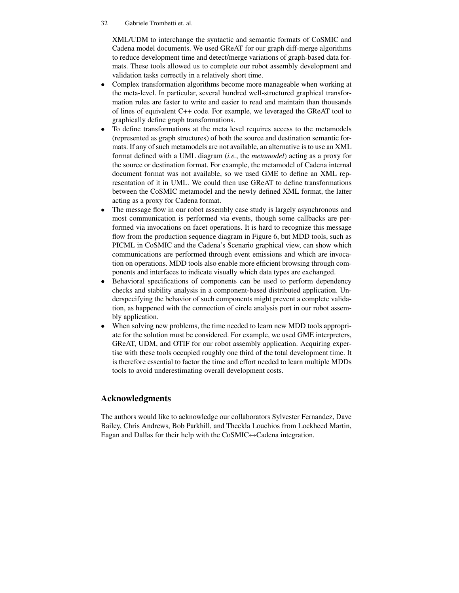XML/UDM to interchange the syntactic and semantic formats of CoSMIC and Cadena model documents. We used GReAT for our graph diff-merge algorithms to reduce development time and detect/merge variations of graph-based data formats. These tools allowed us to complete our robot assembly development and validation tasks correctly in a relatively short time.

- Complex transformation algorithms become more manageable when working at the meta-level. In particular, several hundred well-structured graphical transformation rules are faster to write and easier to read and maintain than thousands of lines of equivalent C++ code. For example, we leveraged the GReAT tool to graphically define graph transformations.
- To define transformations at the meta level requires access to the metamodels (represented as graph structures) of both the source and destination semantic formats. If any of such metamodels are not available, an alternative is to use an XML format defined with a UML diagram (*i.e.*, the *metamodel*) acting as a proxy for the source or destination format. For example, the metamodel of Cadena internal document format was not available, so we used GME to define an XML representation of it in UML. We could then use GReAT to define transformations between the CoSMIC metamodel and the newly defined XML format, the latter acting as a proxy for Cadena format.
- The message flow in our robot assembly case study is largely asynchronous and most communication is performed via events, though some callbacks are performed via invocations on facet operations. It is hard to recognize this message flow from the production sequence diagram in Figure 6, but MDD tools, such as PICML in CoSMIC and the Cadena's Scenario graphical view, can show which communications are performed through event emissions and which are invocation on operations. MDD tools also enable more efficient browsing through components and interfaces to indicate visually which data types are exchanged.
- Behavioral specifications of components can be used to perform dependency checks and stability analysis in a component-based distributed application. Underspecifying the behavior of such components might prevent a complete validation, as happened with the connection of circle analysis port in our robot assembly application.
- When solving new problems, the time needed to learn new MDD tools appropriate for the solution must be considered. For example, we used GME interpreters, GReAT, UDM, and OTIF for our robot assembly application. Acquiring expertise with these tools occupied roughly one third of the total development time. It is therefore essential to factor the time and effort needed to learn multiple MDDs tools to avoid underestimating overall development costs.

# **Acknowledgments**

The authors would like to acknowledge our collaborators Sylvester Fernandez, Dave Bailey, Chris Andrews, Bob Parkhill, and Theckla Louchios from Lockheed Martin, Eagan and Dallas for their help with the  $CoSMIC \leftrightarrow Cadena$  integration.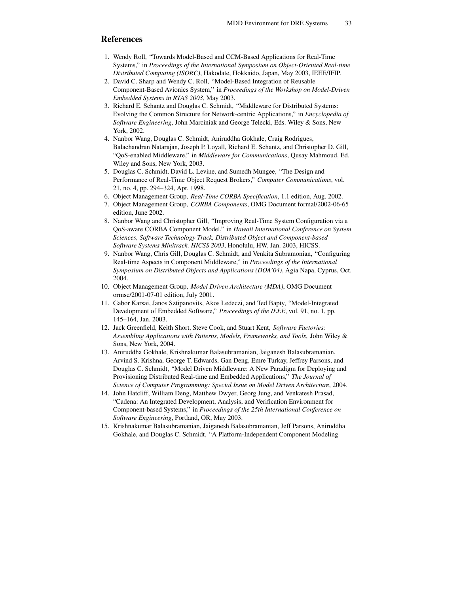# **References**

- 1. Wendy Roll, "Towards Model-Based and CCM-Based Applications for Real-Time Systems," in *Proceedings of the International Symposium on Object-Oriented Real-time Distributed Computing (ISORC)*, Hakodate, Hokkaido, Japan, May 2003, IEEE/IFIP.
- 2. David C. Sharp and Wendy C. Roll, "Model-Based Integration of Reusable Component-Based Avionics System," in *Proceedings of the Workshop on Model-Driven Embedded Systems in RTAS 2003*, May 2003.
- 3. Richard E. Schantz and Douglas C. Schmidt, "Middleware for Distributed Systems: Evolving the Common Structure for Network-centric Applications," in *Encyclopedia of Software Engineering*, John Marciniak and George Telecki, Eds. Wiley & Sons, New York, 2002.
- 4. Nanbor Wang, Douglas C. Schmidt, Aniruddha Gokhale, Craig Rodrigues, Balachandran Natarajan, Joseph P. Loyall, Richard E. Schantz, and Christopher D. Gill, "QoS-enabled Middleware," in *Middleware for Communications*, Qusay Mahmoud, Ed. Wiley and Sons, New York, 2003.
- 5. Douglas C. Schmidt, David L. Levine, and Sumedh Mungee, "The Design and Performance of Real-Time Object Request Brokers," *Computer Communications*, vol. 21, no. 4, pp. 294–324, Apr. 1998.
- 6. Object Management Group, *Real-Time CORBA Specification*, 1.1 edition, Aug. 2002.
- 7. Object Management Group, *CORBA Components*, OMG Document formal/2002-06-65 edition, June 2002.
- 8. Nanbor Wang and Christopher Gill, "Improving Real-Time System Configuration via a QoS-aware CORBA Component Model," in *Hawaii International Conference on System Sciences, Software Technology Track, Distributed Object and Component-based Software Systems Minitrack, HICSS 2003*, Honolulu, HW, Jan. 2003, HICSS.
- 9. Nanbor Wang, Chris Gill, Douglas C. Schmidt, and Venkita Subramonian, "Configuring Real-time Aspects in Component Middleware," in *Proceedings of the International Symposium on Distributed Objects and Applications (DOA'04)*, Agia Napa, Cyprus, Oct. 2004.
- 10. Object Management Group, *Model Driven Architecture (MDA)*, OMG Document ormsc/2001-07-01 edition, July 2001.
- 11. Gabor Karsai, Janos Sztipanovits, Akos Ledeczi, and Ted Bapty, "Model-Integrated Development of Embedded Software," *Proceedings of the IEEE*, vol. 91, no. 1, pp. 145–164, Jan. 2003.
- 12. Jack Greenfield, Keith Short, Steve Cook, and Stuart Kent, *Software Factories: Assembling Applications with Patterns, Models, Frameworks, and Tools*, John Wiley & Sons, New York, 2004.
- 13. Aniruddha Gokhale, Krishnakumar Balasubramanian, Jaiganesh Balasubramanian, Arvind S. Krishna, George T. Edwards, Gan Deng, Emre Turkay, Jeffrey Parsons, and Douglas C. Schmidt, "Model Driven Middleware: A New Paradigm for Deploying and Provisioning Distributed Real-time and Embedded Applications," *The Journal of Science of Computer Programming: Special Issue on Model Driven Architecture*, 2004.
- 14. John Hatcliff, William Deng, Matthew Dwyer, Georg Jung, and Venkatesh Prasad, "Cadena: An Integrated Development, Analysis, and Verification Environment for Component-based Systems," in *Proceedings of the 25th International Conference on Software Engineering*, Portland, OR, May 2003.
- 15. Krishnakumar Balasubramanian, Jaiganesh Balasubramanian, Jeff Parsons, Aniruddha Gokhale, and Douglas C. Schmidt, "A Platform-Independent Component Modeling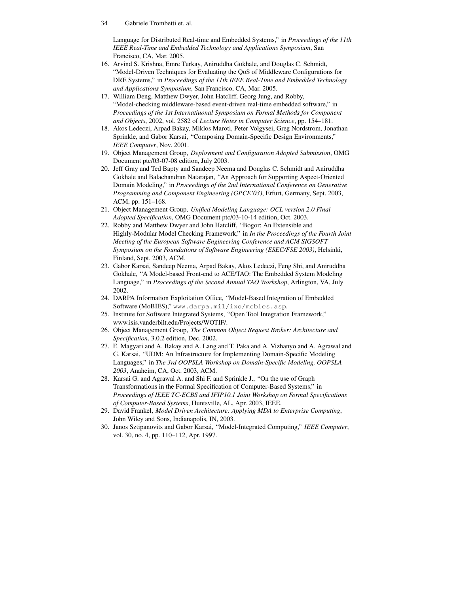Language for Distributed Real-time and Embedded Systems," in *Proceedings of the 11th IEEE Real-Time and Embedded Technology and Applications Symposium*, San Francisco, CA, Mar. 2005.

- 16. Arvind S. Krishna, Emre Turkay, Aniruddha Gokhale, and Douglas C. Schmidt, "Model-Driven Techniques for Evaluating the QoS of Middleware Configurations for DRE Systems," in *Proceedings of the 11th IEEE Real-Time and Embedded Technology and Applications Symposium*, San Francisco, CA, Mar. 2005.
- 17. William Deng, Matthew Dwyer, John Hatcliff, Georg Jung, and Robby, "Model-checking middleware-based event-driven real-time embedded software," in *Proceedings of the 1st Internatiuonal Symposium on Formal Methods for Component and Objects*, 2002, vol. 2582 of *Lecture Notes in Computer Science*, pp. 154–181.
- 18. Akos Ledeczi, Arpad Bakay, Miklos Maroti, Peter Volgysei, Greg Nordstrom, Jonathan Sprinkle, and Gabor Karsai, "Composing Domain-Specific Design Environments," *IEEE Computer*, Nov. 2001.
- 19. Object Management Group, *Deployment and Configuration Adopted Submission*, OMG Document ptc/03-07-08 edition, July 2003.
- 20. Jeff Gray and Ted Bapty and Sandeep Neema and Douglas C. Schmidt and Aniruddha Gokhale and Balachandran Natarajan, "An Approach for Supporting Aspect-Oriented Domain Modeling," in *Proceedings of the 2nd International Conference on Generative Programming and Component Engineering (GPCE'03)*, Erfurt, Germany, Sept. 2003, ACM, pp. 151–168.
- 21. Object Management Group, *Unified Modeling Language: OCL version 2.0 Final Adopted Specification*, OMG Document ptc/03-10-14 edition, Oct. 2003.
- 22. Robby and Matthew Dwyer and John Hatcliff, "Bogor: An Extensible and Highly-Modular Model Checking Framework," in *In the Proceedings of the Fourth Joint Meeting of the European Software Engineering Conference and ACM SIGSOFT Symposium on the Foundations of Software Engineering (ESEC/FSE 2003)*, Helsinki, Finland, Sept. 2003, ACM.
- 23. Gabor Karsai, Sandeep Neema, Arpad Bakay, Akos Ledeczi, Feng Shi, and Aniruddha Gokhale, "A Model-based Front-end to ACE/TAO: The Embedded System Modeling Language," in *Proceedings of the Second Annual TAO Workshop*, Arlington, VA, July 2002.
- 24. DARPA Information Exploitation Office, "Model-Based Integration of Embedded Software (MoBIES)," www.darpa.mil/ixo/mobies.asp.
- 25. Institute for Software Integrated Systems, "Open Tool Integration Framework," www.isis.vanderbilt.edu/Projects/WOTIF/.
- 26. Object Management Group, *The Common Object Request Broker: Architecture and Specification*, 3.0.2 edition, Dec. 2002.
- 27. E. Magyari and A. Bakay and A. Lang and T. Paka and A. Vizhanyo and A. Agrawal and G. Karsai, "UDM: An Infrastructure for Implementing Domain-Specific Modeling Languages," in *The 3rd OOPSLA Workshop on Domain-Specific Modeling, OOPSLA 2003*, Anaheim, CA, Oct. 2003, ACM.
- 28. Karsai G. and Agrawal A. and Shi F. and Sprinkle J., "On the use of Graph Transformations in the Formal Specification of Computer-Based Systems," in *Proceedings of IEEE TC-ECBS and IFIP10.1 Joint Workshop on Formal Specifications of Computer-Based Systems*, Huntsville, AL, Apr. 2003, IEEE.
- 29. David Frankel, *Model Driven Architecture: Applying MDA to Enterprise Computing*, John Wiley and Sons, Indianapolis, IN, 2003.
- 30. Janos Sztipanovits and Gabor Karsai, "Model-Integrated Computing," *IEEE Computer*, vol. 30, no. 4, pp. 110–112, Apr. 1997.